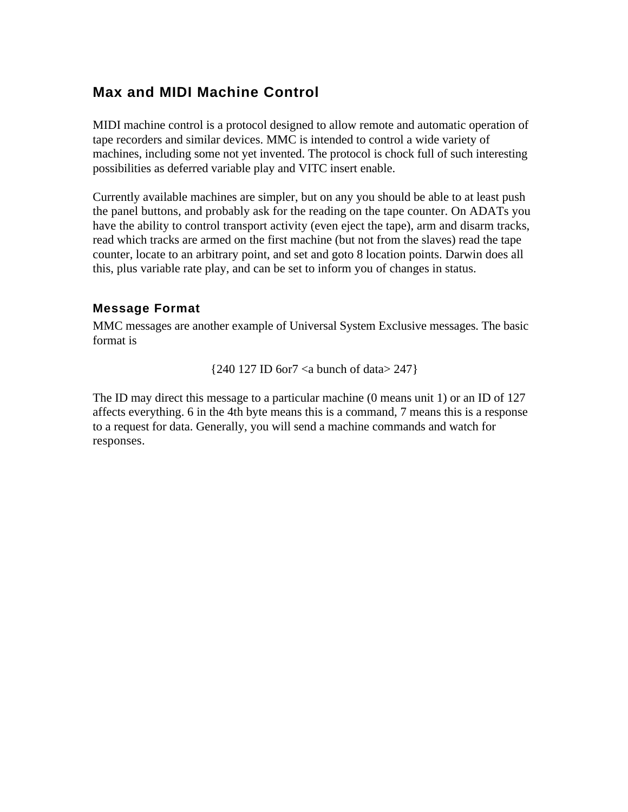# **Max and MIDI Machine Control**

MIDI machine control is a protocol designed to allow remote and automatic operation of tape recorders and similar devices. MMC is intended to control a wide variety of machines, including some not yet invented. The protocol is chock full of such interesting possibilities as deferred variable play and VITC insert enable.

Currently available machines are simpler, but on any you should be able to at least push the panel buttons, and probably ask for the reading on the tape counter. On ADATs you have the ability to control transport activity (even eject the tape), arm and disarm tracks, read which tracks are armed on the first machine (but not from the slaves) read the tape counter, locate to an arbitrary point, and set and goto 8 location points. Darwin does all this, plus variable rate play, and can be set to inform you of changes in status.

#### **Message Format**

MMC messages are another example of Universal System Exclusive messages. The basic format is

{240 127 ID 6or7 <a bunch of data> 247}

The ID may direct this message to a particular machine (0 means unit 1) or an ID of 127 affects everything. 6 in the 4th byte means this is a command, 7 means this is a response to a request for data. Generally, you will send a machine commands and watch for responses.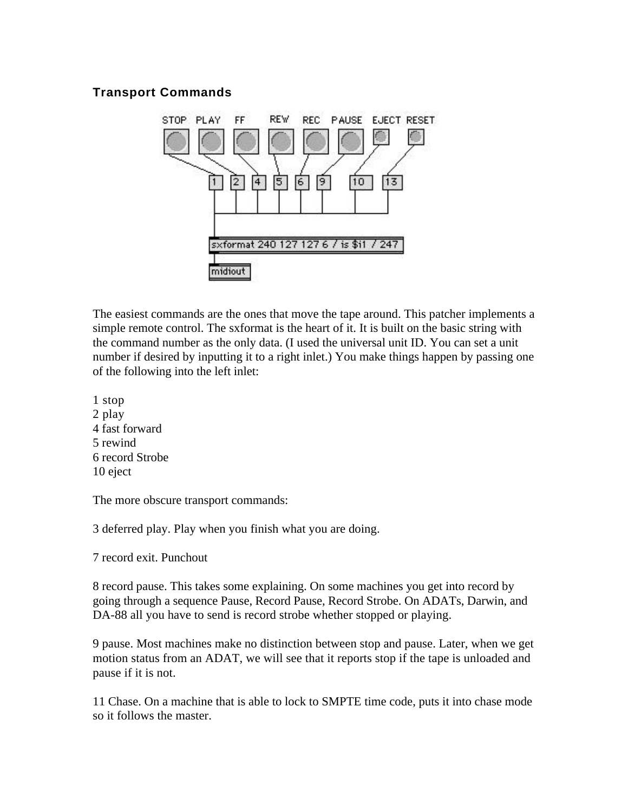#### **Transport Commands**



The easiest commands are the ones that move the tape around. This patcher implements a simple remote control. The sxformat is the heart of it. It is built on the basic string with the command number as the only data. (I used the universal unit ID. You can set a unit number if desired by inputting it to a right inlet.) You make things happen by passing one of the following into the left inlet:

1 stop 2 play 4 fast forward 5 rewind 6 record Strobe 10 eject

The more obscure transport commands:

3 deferred play. Play when you finish what you are doing.

7 record exit. Punchout

8 record pause. This takes some explaining. On some machines you get into record by going through a sequence Pause, Record Pause, Record Strobe. On ADATs, Darwin, and DA-88 all you have to send is record strobe whether stopped or playing.

9 pause. Most machines make no distinction between stop and pause. Later, when we get motion status from an ADAT, we will see that it reports stop if the tape is unloaded and pause if it is not.

11 Chase. On a machine that is able to lock to SMPTE time code, puts it into chase mode so it follows the master.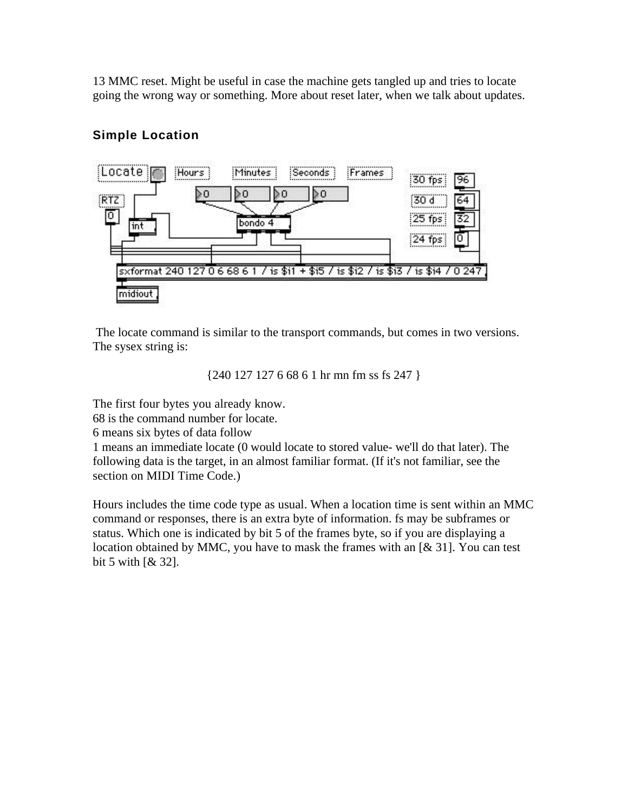13 MMC reset. Might be useful in case the machine gets tangled up and tries to locate going the wrong way or something. More about reset later, when we talk about updates.



## **Simple Location**

 The locate command is similar to the transport commands, but comes in two versions. The sysex string is:

{240 127 127 6 68 6 1 hr mn fm ss fs 247 }

The first four bytes you already know.

68 is the command number for locate.

6 means six bytes of data follow

1 means an immediate locate (0 would locate to stored value- we'll do that later). The following data is the target, in an almost familiar format. (If it's not familiar, see the section on MIDI Time Code.)

Hours includes the time code type as usual. When a location time is sent within an MMC command or responses, there is an extra byte of information. fs may be subframes or status. Which one is indicated by bit 5 of the frames byte, so if you are displaying a location obtained by MMC, you have to mask the frames with an [& 31]. You can test bit 5 with [& 32].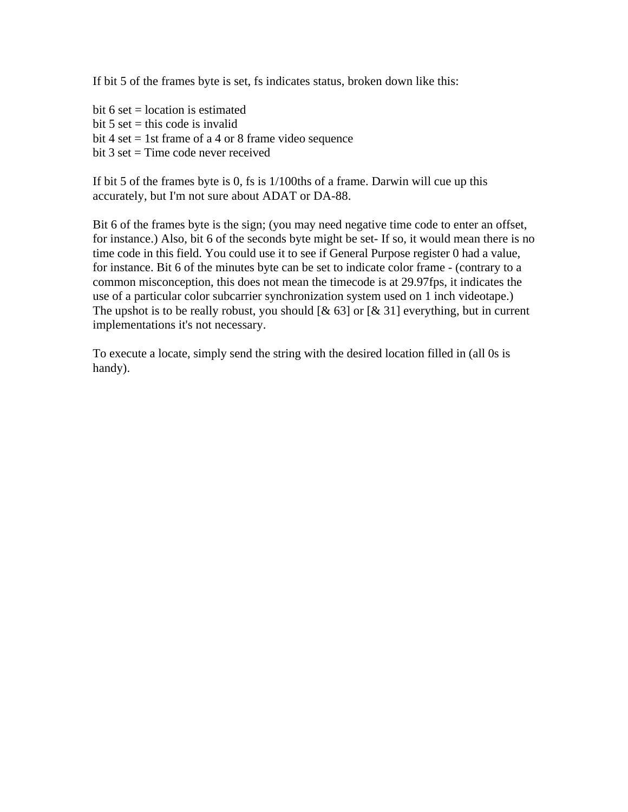If bit 5 of the frames byte is set, fs indicates status, broken down like this:

bit 6 set  $=$  location is estimated bit 5 set  $=$  this code is invalid bit 4 set  $= 1$ st frame of a 4 or 8 frame video sequence bit  $3$  set  $=$  Time code never received

If bit 5 of the frames byte is 0, fs is 1/100ths of a frame. Darwin will cue up this accurately, but I'm not sure about ADAT or DA-88.

Bit 6 of the frames byte is the sign; (you may need negative time code to enter an offset, for instance.) Also, bit 6 of the seconds byte might be set- If so, it would mean there is no time code in this field. You could use it to see if General Purpose register 0 had a value, for instance. Bit 6 of the minutes byte can be set to indicate color frame - (contrary to a common misconception, this does not mean the timecode is at 29.97fps, it indicates the use of a particular color subcarrier synchronization system used on 1 inch videotape.) The upshot is to be really robust, you should  $\left[\&63\right]$  or  $\left[\&31\right]$  everything, but in current implementations it's not necessary.

To execute a locate, simply send the string with the desired location filled in (all 0s is handy).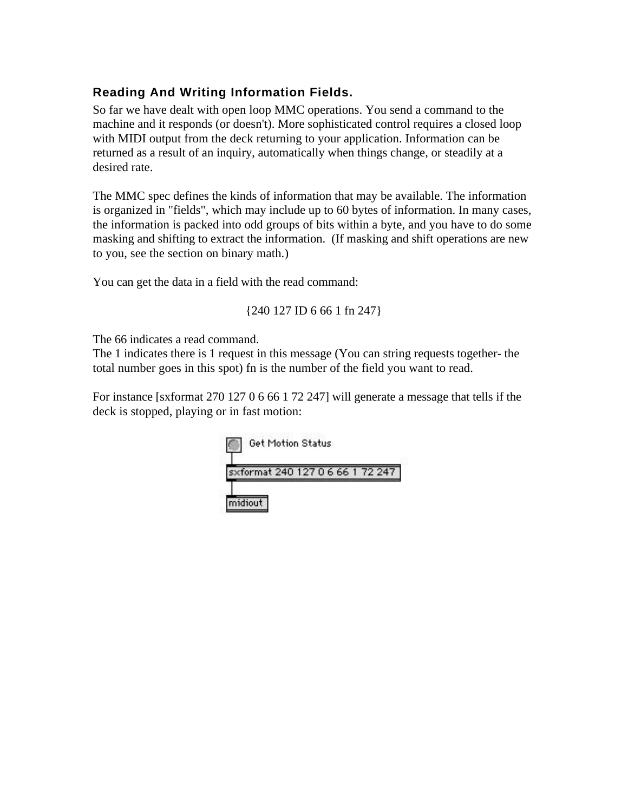## **Reading And Writing Information Fields.**

So far we have dealt with open loop MMC operations. You send a command to the machine and it responds (or doesn't). More sophisticated control requires a closed loop with MIDI output from the deck returning to your application. Information can be returned as a result of an inquiry, automatically when things change, or steadily at a desired rate.

The MMC spec defines the kinds of information that may be available. The information is organized in "fields", which may include up to 60 bytes of information. In many cases, the information is packed into odd groups of bits within a byte, and you have to do some masking and shifting to extract the information. (If masking and shift operations are new to you, see the section on binary math.)

You can get the data in a field with the read command:

{240 127 ID 6 66 1 fn 247}

The 66 indicates a read command.

The 1 indicates there is 1 request in this message (You can string requests together- the total number goes in this spot) fn is the number of the field you want to read.

For instance [sxformat 270 127 0 6 66 1 72 247] will generate a message that tells if the deck is stopped, playing or in fast motion:

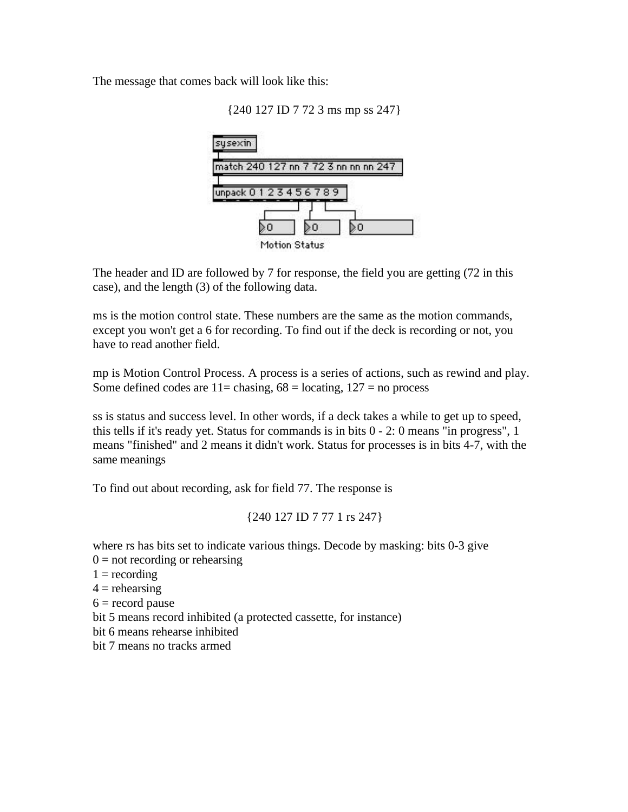The message that comes back will look like this:

{240 127 ID 7 72 3 ms mp ss 247}



The header and ID are followed by 7 for response, the field you are getting (72 in this case), and the length (3) of the following data.

ms is the motion control state. These numbers are the same as the motion commands, except you won't get a 6 for recording. To find out if the deck is recording or not, you have to read another field.

mp is Motion Control Process. A process is a series of actions, such as rewind and play. Some defined codes are  $11$  = chasing,  $68$  = locating,  $127$  = no process

ss is status and success level. In other words, if a deck takes a while to get up to speed, this tells if it's ready yet. Status for commands is in bits 0 - 2: 0 means "in progress", 1 means "finished" and 2 means it didn't work. Status for processes is in bits 4-7, with the same meanings

To find out about recording, ask for field 77. The response is

{240 127 ID 7 77 1 rs 247}

where rs has bits set to indicate various things. Decode by masking: bits 0-3 give

- $0 =$  not recording or rehearsing
- $1 =$  recording
- $4$  = rehearsing
- $6 =$  record pause
- bit 5 means record inhibited (a protected cassette, for instance)
- bit 6 means rehearse inhibited
- bit 7 means no tracks armed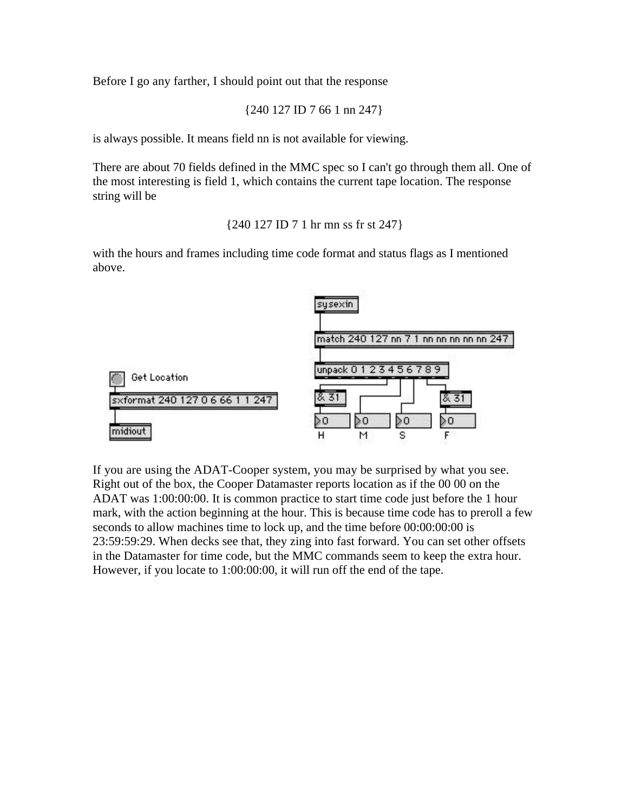Before I go any farther, I should point out that the response

{240 127 ID 7 66 1 nn 247}

is always possible. It means field nn is not available for viewing.

There are about 70 fields defined in the MMC spec so I can't go through them all. One of the most interesting is field 1, which contains the current tape location. The response string will be

{240 127 ID 7 1 hr mn ss fr st 247}

with the hours and frames including time code format and status flags as I mentioned above.



If you are using the ADAT-Cooper system, you may be surprised by what you see. Right out of the box, the Cooper Datamaster reports location as if the 00 00 on the ADAT was 1:00:00:00. It is common practice to start time code just before the 1 hour mark, with the action beginning at the hour. This is because time code has to preroll a few seconds to allow machines time to lock up, and the time before 00:00:00:00 is 23:59:59:29. When decks see that, they zing into fast forward. You can set other offsets in the Datamaster for time code, but the MMC commands seem to keep the extra hour. However, if you locate to 1:00:00:00, it will run off the end of the tape.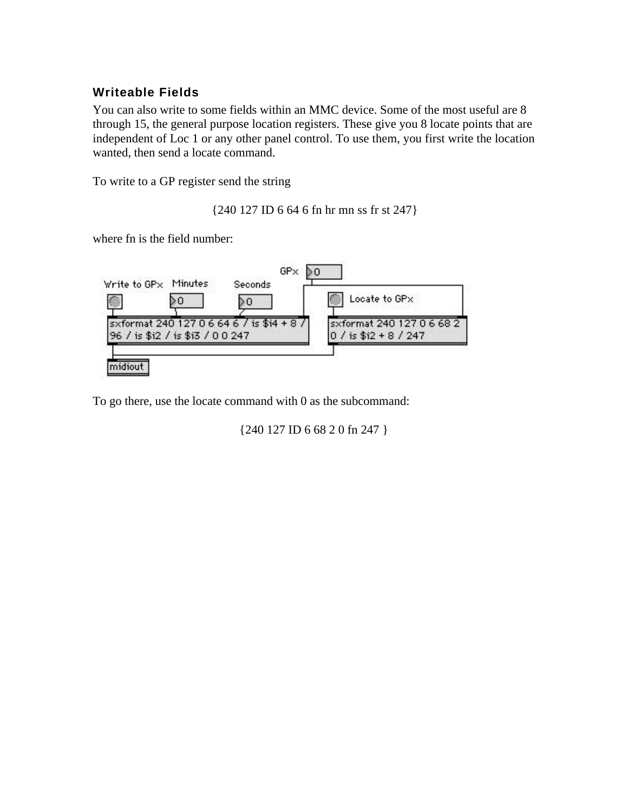### **Writeable Fields**

You can also write to some fields within an MMC device. Some of the most useful are 8 through 15, the general purpose location registers. These give you 8 locate points that are independent of Loc 1 or any other panel control. To use them, you first write the location wanted, then send a locate command.

To write to a GP register send the string

{240 127 ID 6 64 6 fn hr mn ss fr st 247}

where fn is the field number:

| Write to GPx Minutes<br>Seconds           | Locate to GPx             |
|-------------------------------------------|---------------------------|
| sxformat 240 127 0 6 64 6 / is \$i4 + 8 / | sxformat 240 127 0 6 68 2 |
| 96 / is \$i2 / is \$i3 / 0 0 247          | $0/$ is $$i2 + 8 / 247$   |

To go there, use the locate command with 0 as the subcommand:

{240 127 ID 6 68 2 0 fn 247 }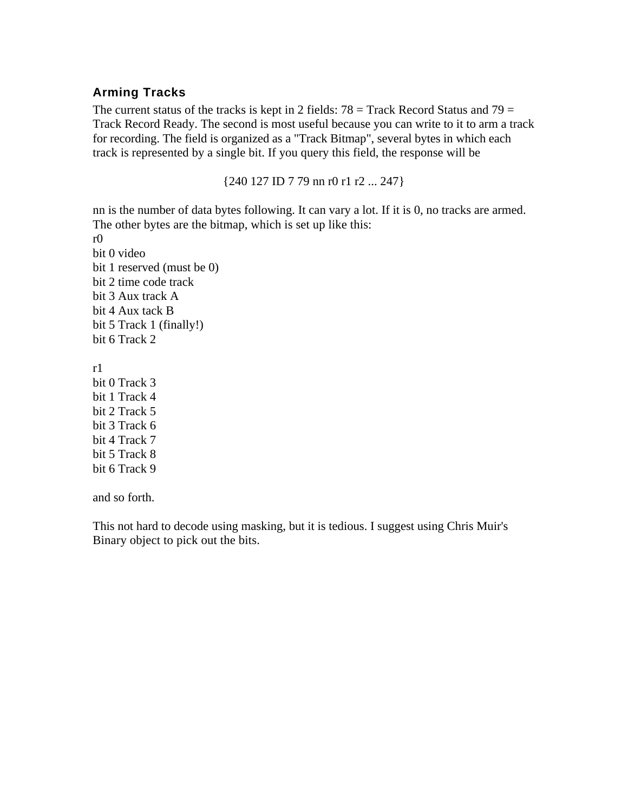#### **Arming Tracks**

The current status of the tracks is kept in 2 fields:  $78 =$ Track Record Status and  $79 =$ Track Record Ready. The second is most useful because you can write to it to arm a track for recording. The field is organized as a "Track Bitmap", several bytes in which each track is represented by a single bit. If you query this field, the response will be

{240 127 ID 7 79 nn r0 r1 r2 ... 247}

nn is the number of data bytes following. It can vary a lot. If it is 0, no tracks are armed. The other bytes are the bitmap, which is set up like this:

r0 bit 0 video bit 1 reserved (must be 0) bit 2 time code track bit 3 Aux track A bit 4 Aux tack B bit 5 Track 1 (finally!) bit 6 Track 2

r1

bit 0 Track 3 bit 1 Track 4 bit 2 Track 5 bit 3 Track 6 bit 4 Track 7 bit 5 Track 8 bit 6 Track 9

and so forth.

This not hard to decode using masking, but it is tedious. I suggest using Chris Muir's Binary object to pick out the bits.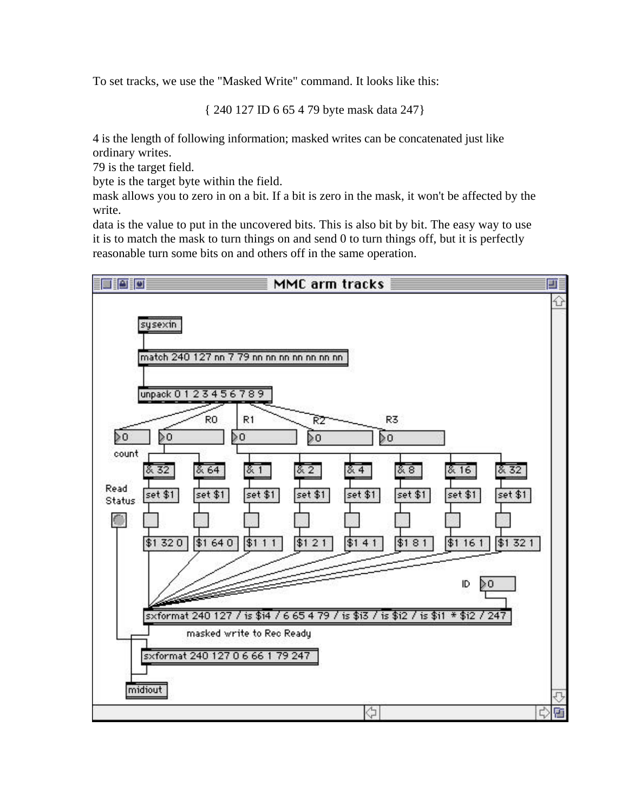To set tracks, we use the "Masked Write" command. It looks like this:

{ 240 127 ID 6 65 4 79 byte mask data 247}

4 is the length of following information; masked writes can be concatenated just like ordinary writes.

79 is the target field.

byte is the target byte within the field.

mask allows you to zero in on a bit. If a bit is zero in the mask, it won't be affected by the write.

data is the value to put in the uncovered bits. This is also bit by bit. The easy way to use it is to match the mask to turn things on and send 0 to turn things off, but it is perfectly reasonable turn some bits on and others off in the same operation.